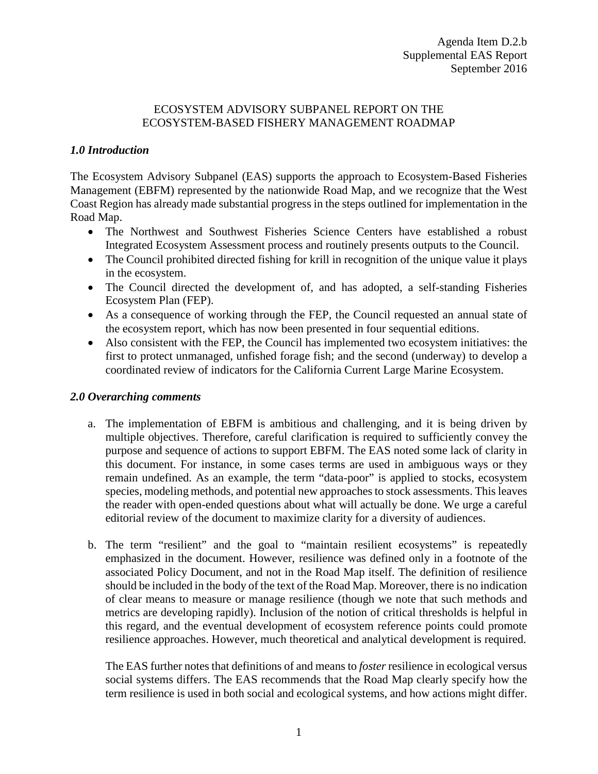## ECOSYSTEM ADVISORY SUBPANEL REPORT ON THE ECOSYSTEM-BASED FISHERY MANAGEMENT ROADMAP

## *1.0 Introduction*

The Ecosystem Advisory Subpanel (EAS) supports the approach to Ecosystem-Based Fisheries Management (EBFM) represented by the nationwide Road Map, and we recognize that the West Coast Region has already made substantial progress in the steps outlined for implementation in the Road Map.

- The Northwest and Southwest Fisheries Science Centers have established a robust Integrated Ecosystem Assessment process and routinely presents outputs to the Council.
- The Council prohibited directed fishing for krill in recognition of the unique value it plays in the ecosystem.
- The Council directed the development of, and has adopted, a self-standing Fisheries Ecosystem Plan (FEP).
- As a consequence of working through the FEP, the Council requested an annual state of the ecosystem report, which has now been presented in four sequential editions.
- Also consistent with the FEP, the Council has implemented two ecosystem initiatives: the first to protect unmanaged, unfished forage fish; and the second (underway) to develop a coordinated review of indicators for the California Current Large Marine Ecosystem.

## *2.0 Overarching comments*

- a. The implementation of EBFM is ambitious and challenging, and it is being driven by multiple objectives. Therefore, careful clarification is required to sufficiently convey the purpose and sequence of actions to support EBFM. The EAS noted some lack of clarity in this document. For instance, in some cases terms are used in ambiguous ways or they remain undefined. As an example, the term "data-poor" is applied to stocks, ecosystem species, modeling methods, and potential new approaches to stock assessments. This leaves the reader with open-ended questions about what will actually be done. We urge a careful editorial review of the document to maximize clarity for a diversity of audiences.
- b. The term "resilient" and the goal to "maintain resilient ecosystems" is repeatedly emphasized in the document. However, resilience was defined only in a footnote of the associated Policy Document, and not in the Road Map itself. The definition of resilience should be included in the body of the text of the Road Map. Moreover, there is no indication of clear means to measure or manage resilience (though we note that such methods and metrics are developing rapidly). Inclusion of the notion of critical thresholds is helpful in this regard, and the eventual development of ecosystem reference points could promote resilience approaches. However, much theoretical and analytical development is required.

The EAS further notes that definitions of and means to *foster* resilience in ecological versus social systems differs. The EAS recommends that the Road Map clearly specify how the term resilience is used in both social and ecological systems, and how actions might differ.